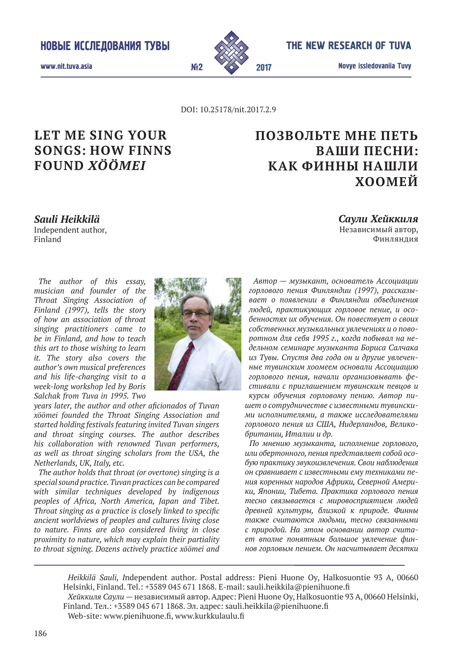

The New research of Tuva

Novye issledovaniia Tuvy 2017

www.nit.tuva.asia №2

DOI: 10.25178/nit.2017.2.9

# **Let me sing your songs: how Finns found** *xöömei*

# **Позвольте мне петь ваши песни: как финны нашли хоомей**

*Sauli Heikkilä*  Independent author, Finland

*Саули Хейккиля*  Независимый автор, Финляндия

*The author of this essay, musician and founder of the Throat Singing Association of Finland (1997), tells the story of how an association of throat singing practitioners came to be in Finland, and how to teach this art to those wishing to learn it. The story also covers the author's own musical preferences and his life-changing visit to a week-long workshop led by Boris Salchak from Tuva in 1995. Two* 



*years later, the author and other aficionados of Tuvan xöömei founded the Throat Singing Association and started holding festivals featuring invited Tuvan singers and throat singing courses. The author describes his collaboration with renowned Tuvan performers, as well as throat singing scholars from the USA, the Netherlands, UK, Italy, etc.*

*The author holds that throat (or overtone) singing is a special sound practice. Tuvan practices can be compared with similar techniques developed by indigenous peoples of Africa, North America, Japan and Tibet. Throat singing as a practice is closely linked to specific ancient worldviews of peoples and cultures living close to nature. Finns are also considered living in close proximity to nature, which may explain their partiality to throat signing. Dozens actively practice xöömei and* 

*Автор — музыкант, основатель Ассоциации горлового пения Финляндии (1997), рассказывает о появлении в Финляндии объединения людей, практикующих горловое пение, и особенностях их обучения. Он повествует о своих собственных музыкальных увлечениях и о поворотном для себя 1995 г., когда побывал на недельном семинаре музыканта Бориса Салчака из Тувы. Спустя два года он и другие увлеченные тувинским хоомеем основали Ассоциацию горлового пения, начали организовывать фестивали с приглашением тувинским певцов и* 

*курсы обучения горловому пению. Автор пишет о сотрудничестве с известными тувинскими исполнителями, а также исследователями горлового пения из США, Нидерландов, Великобритании, Италии и др.*

*По мнению музыканта, исполнение горлового, или обертонного, пения представляет собой особую практику звукоизвлечения. Свои наблюдения он сравнивает с известными ему техниками пения коренных народов Африки, Северной Америки, Японии, Тибета. Практика горлового пения тесно связывается с мировосприятием людей древней культуры, близкой к природе. Финны также считаются людьми, тесно связанными с природой. На этом основании автор считает вполне понятным большое увлечение финнов горловым пением. Он насчитывает десятки* 

*Heikkilä Sauli, I*ndependent author. Postal address: Pieni Huone Oy, Halkosuontie 93 A, 00660 Helsinki, Finland. Tel.: +3589 045 671 1868. E-mail: sauli.heikkila@pienihuone.fi *Хейккиля Саули* — независимый автор. Адрес: Pieni Huone Oy, Halkosuontie 93 A, 00660 Helsinki,

Finland. Тел.: +3589 045 671 1868. Эл. адрес: sauli.heikkila@pienihuone.fi Web-site: www.pienihuone.fi, www.kurkkulaulu.fi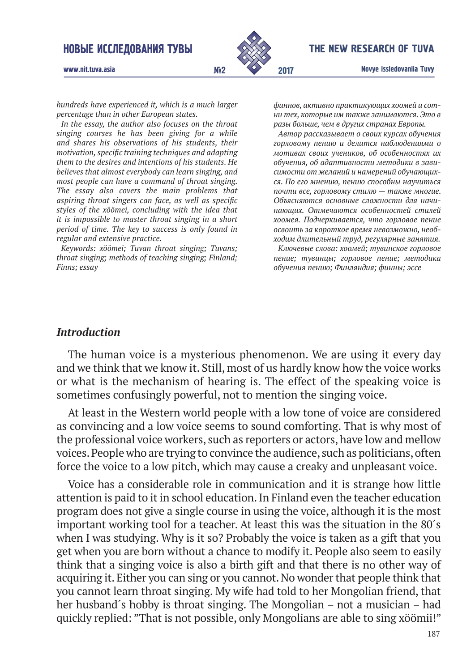

#### The New research of Tuva

www.nit.tuva.asia №2

*hundreds have experienced it, which is a much larger percentage than in other European states.*

*In the essay, the author also focuses on the throat singing courses he has been giving for a while and shares his observations of his students, their motivation, specific training techniques and adapting them to the desires and intentions of his students. He believes that almost everybody can learn singing, and most people can have a command of throat singing. The essay also covers the main problems that aspiring throat singers can face, as well as specific styles of the xöömei, concluding with the idea that it is impossible to master throat singing in a short period of time. The key to success is only found in regular and extensive practice.*

*Keywords: xöömei; Tuvan throat singing; Tuvans; throat singing; methods of teaching singing; Finland; Finns; essay*

*финнов, активно практикующих хоомей и сотни тех, которые им также занимаются. Это в разы больше, чем в других странах Европы.* 

*Автор рассказывает о своих курсах обучения горловому пению и делится наблюдениями о мотивах своих учеников, об особенностях их обучения, об адаптивности методики в зависимости от желаний и намерений обучающихся. По его мнению, пению способны научиться почти все, горловому стилю — также многие. Объясняются основные сложности для начинающих. Отмечаются особенностей стилей хоомея. Подчеркивается, что горловое пение освоить за короткое время невозможно, необходим длительный труд, регулярные занятия.* 

*Ключевые слова: хоомей; тувинское горловое пение; тувинцы; горловое пение; методика обучения пению; Финляндия; финны; эссе*

#### *Introduction*

The human voice is a mysterious phenomenon. We are using it every day and we think that we know it. Still, most of us hardly know how the voice works or what is the mechanism of hearing is. The effect of the speaking voice is sometimes confusingly powerful, not to mention the singing voice.

At least in the Western world people with a low tone of voice are considered as convincing and a low voice seems to sound comforting. That is why most of the professional voice workers, such as reporters or actors, have low and mellow voices. People who are trying to convince the audience, such as politicians, often force the voice to a low pitch, which may cause a creaky and unpleasant voice.

Voice has a considerable role in communication and it is strange how little attention is paid to it in school education. In Finland even the teacher education program does not give a single course in using the voice, although it is the most important working tool for a teacher. At least this was the situation in the 80´s when I was studying. Why is it so? Probably the voice is taken as a gift that you get when you are born without a chance to modify it. People also seem to easily think that a singing voice is also a birth gift and that there is no other way of acquiring it. Either you can sing or you cannot. No wonder that people think that you cannot learn throat singing. My wife had told to her Mongolian friend, that her husband´s hobby is throat singing. The Mongolian – not a musician – had quickly replied: "That is not possible, only Mongolians are able to sing xöömii!"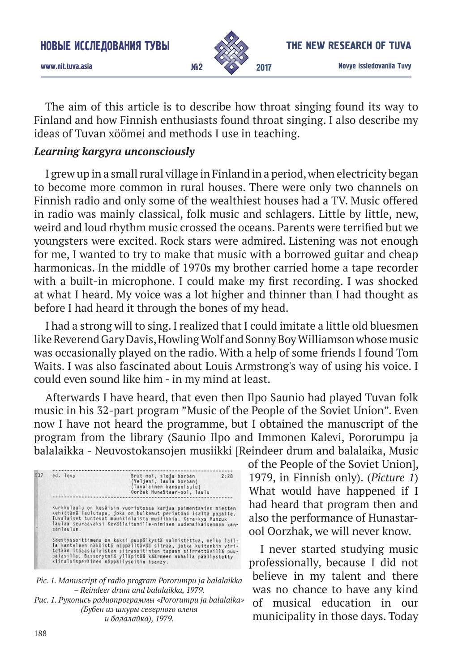

The aim of this article is to describe how throat singing found its way to Finland and how Finnish enthusiasts found throat singing. I also describe my ideas of Tuvan xöömei and methods I use in teaching.

### *Learning kargyra unconsciously*

I grew up in a small rural village in Finland in a period, when electricity began to become more common in rural houses. There were only two channels on Finnish radio and only some of the wealthiest houses had a TV. Music offered in radio was mainly classical, folk music and schlagers. Little by little, new, weird and loud rhythm music crossed the oceans. Parents were terrified but we youngsters were excited. Rock stars were admired. Listening was not enough for me, I wanted to try to make that music with a borrowed guitar and cheap harmonicas. In the middle of 1970s my brother carried home a tape recorder with a built-in microphone. I could make my first recording. I was shocked at what I heard. My voice was a lot higher and thinner than I had thought as before I had heard it through the bones of my head.

I had a strong will to sing. I realized that I could imitate a little old bluesmen like Reverend Gary Davis, Howling Wolf and Sonny Boy Williamson whose music was occasionally played on the radio. With a help of some friends I found Tom Waits. I was also fascinated about Louis Armstrong's way of using his voice. I could even sound like him - in my mind at least.

Afterwards I have heard, that even then Ilpo Saunio had played Tuvan folk music in his 32-part program "Music of the People of the Soviet Union". Even now I have not heard the programme, but I obtained the manuscript of the program from the library (Saunio Ilpo and Immonen Kalevi, Pororumpu ja balalaikka - Neuvostokansojen musiikki [Reindeer drum and balalaika, Music

| ed. levy   | 2:28<br>Brat moi, sloju borban<br>(Veljeni, laula borban)<br>(Tuvalainen kansanlaulu)<br>Ooržak Hunaštaar-ool, laulu                                                                                                                                                                                                    |
|------------|-------------------------------------------------------------------------------------------------------------------------------------------------------------------------------------------------------------------------------------------------------------------------------------------------------------------------|
| sanlaulun. | Kurkkulaulu on kesäisin vuoristossa karjaa paimentavien miesten<br>kehittämä laulutapa, joka on kulkenut perintönä isältä pojalle.<br>Tuvalaiset tuntevat muunkinlaista musiikkia. Kara-kys Munzuk<br>laulaa seuraavaksi Kevätlaitumille-nimisen uudenaikaisemman kan-                                                  |
|            | Säestyssoittimena on kaksi puupölkystä valmistettua, melko lail-<br>la kanteleen näköistä näppäiltävää sitraa, jotka kuitenkin viri-<br>tetään itäaasialaisten sitrasoitinten tapaan siirrettävillä puu-<br>palasilla. Bassorytniä ylläpitää käärmeen nahalla päällystetty.<br>kiinalaisperäinen näppäilysoitin tsanzy. |



of the People of the Soviet Union], 1979, in Finnish only). (*Picture 1*) What would have happened if I had heard that program then and also the performance of Hunastarool Oorzhak, we will never know.

I never started studying music professionally, because I did not believe in my talent and there was no chance to have any kind of musical education in our municipality in those days. Today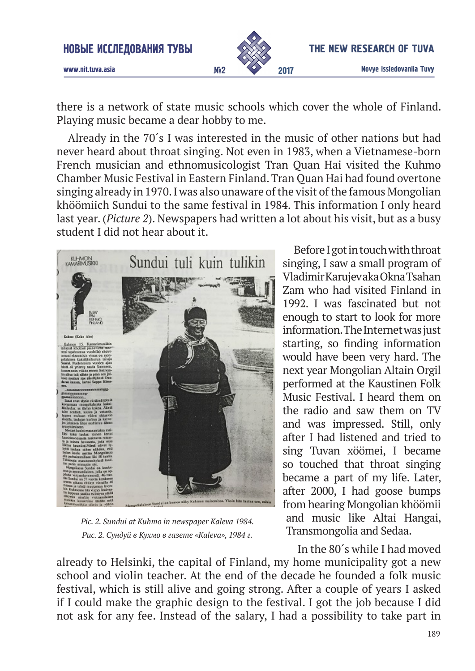

www.nit.tuva.asia №2

there is a network of state music schools which cover the whole of Finland. Playing music became a dear hobby to me.

Already in the 70´s I was interested in the music of other nations but had never heard about throat singing. Not even in 1983, when a Vietnamese-born French musician and ethnomusicologist Tran Quan Hai visited the Kuhmo Chamber Music Festival in Eastern Finland. Tran Quan Hai had found overtone singing already in 1970. I was also unaware of the visit of the famous Mongolian khöömiich Sundui to the same festival in 1984. This information I only heard last year. (*Picture 2*). Newspapers had written a lot about his visit, but as a busy student I did not hear about it.



*Pic. 2. Sundui at Kuhmo in newspaper Kaleva 1984. Рис. 2. Сундуй в Кухмо в газете «Kaleva», 1984 г.*

Before I got in touch with throat singing, I saw a small program of Vladimir Karujev aka Okna Tsahan Zam who had visited Finland in 1992. I was fascinated but not enough to start to look for more information. The Internet was just starting, so finding information would have been very hard. The next year Mongolian Altain Orgil performed at the Kaustinen Folk Music Festival. I heard them on the radio and saw them on TV and was impressed. Still, only after I had listened and tried to sing Tuvan xöömei, I became so touched that throat singing became a part of my life. Later, after 2000, I had goose bumps from hearing Mongolian khöömii and music like Altai Hangai, Transmongolia and Sedaa.

In the 80´s while I had moved

already to Helsinki, the capital of Finland, my home municipality got a new school and violin teacher. At the end of the decade he founded a folk music festival, which is still alive and going strong. After a couple of years I asked if I could make the graphic design to the festival. I got the job because I did not ask for any fee. Instead of the salary, I had a possibility to take part in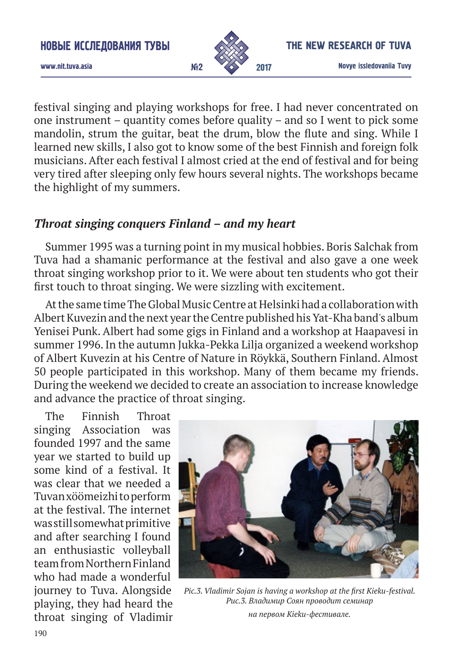

festival singing and playing workshops for free. I had never concentrated on one instrument – quantity comes before quality – and so I went to pick some mandolin, strum the guitar, beat the drum, blow the flute and sing. While I learned new skills, I also got to know some of the best Finnish and foreign folk musicians. After each festival I almost cried at the end of festival and for being very tired after sleeping only few hours several nights. The workshops became the highlight of my summers.

### *Throat singing conquers Finland – and my heart*

Summer 1995 was a turning point in my musical hobbies. Boris Salchak from Tuva had a shamanic performance at the festival and also gave a one week throat singing workshop prior to it. We were about ten students who got their first touch to throat singing. We were sizzling with excitement.

At the same time The Global Music Centre at Helsinki had a collaboration with Albert Kuvezin and the next year the Centre published his Yat-Kha band's album Yenisei Punk. Albert had some gigs in Finland and a workshop at Haapavesi in summer 1996. In the autumn Jukka-Pekka Lilja organized a weekend workshop of Albert Kuvezin at his Centre of Nature in Röykkä, Southern Finland. Almost 50 people participated in this workshop. Many of them became my friends. During the weekend we decided to create an association to increase knowledge and advance the practice of throat singing.

The Finnish Throat singing Association was founded 1997 and the same year we started to build up some kind of a festival. It was clear that we needed a Tuvan xöömeizhi to perform at the festival. The internet was still somewhat primitive and after searching I found an enthusiastic volleyball team from Northern Finland who had made a wonderful journey to Tuva. Alongside playing, they had heard the throat singing of Vladimir



*Pic.3. Vladimir Sojan is having a workshop at the first Kieku-festival. Рис.3. Владимир Соян проводит семинар* 

*на первом Kieku-фестивале.*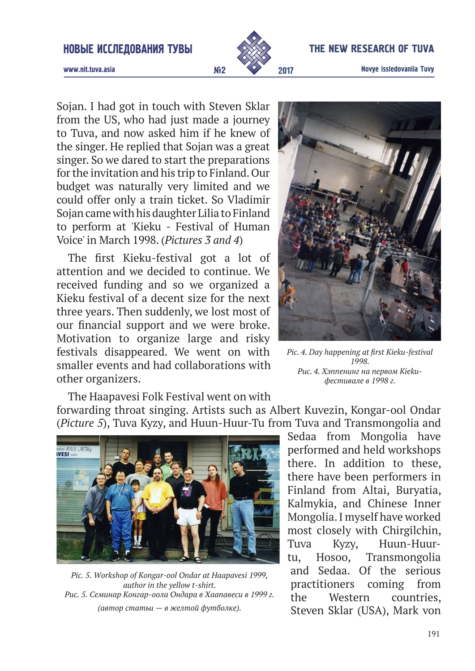#### Новые исследоваНия Тувы



#### The New research of Tuva

www.nit.tuva.asia №2

Sojan. I had got in touch with Steven Sklar from the US, who had just made a journey to Tuva, and now asked him if he knew of the singer. He replied that Sojan was a great singer. So we dared to start the preparations for the invitation and his trip to Finland. Our budget was naturally very limited and we could offer only a train ticket. So Vladimir Sojan came with his daughter Lilia to Finland to perform at 'Kieku - Festival of Human Voice' in March 1998. (*Pictures 3 and 4*)

The first Kieku-festival got a lot of attention and we decided to continue. We received funding and so we organized a Kieku festival of a decent size for the next three years. Then suddenly, we lost most of our financial support and we were broke. Motivation to organize large and risky festivals disappeared. We went on with smaller events and had collaborations with other organizers.



*Pic. 4. Day happening at first Kieku-festival 1998. Рис. 4. Хэппенинг на первом Kiekuфестивале в 1998 г.*

The Haapavesi Folk Festival went on with forwarding throat singing. Artists such as Albert Kuvezin, Kongar-ool Ondar (*Picture 5*), Tuva Kyzy, and Huun-Huur-Tu from Tuva and Transmongolia and



*Pic. 5. Workshop of Kongar-ool Ondar at Haapavesi 1999, author in the yellow t-shirt. Рис. 5. Семинар Конгар-оола Ондара в Хаапавеси в 1999 г. (автор статьи — в желтой футболке).*

Sedaa from Mongolia have performed and held workshops there. In addition to these, there have been performers in Finland from Altai, Buryatia, Kalmykia, and Chinese Inner Mongolia. I myself have worked most closely with Chirgilchin, Tuva Kyzy, Huun-Huurtu, Hosoo, Transmongolia and Sedaa. Of the serious practitioners coming from the Western countries, Steven Sklar (USA), Mark von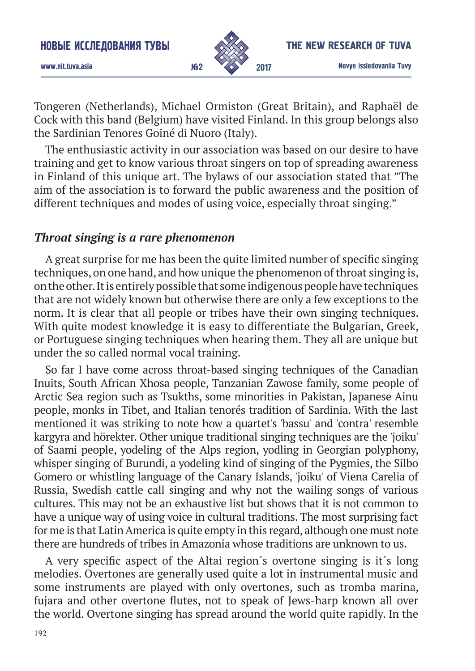

Tongeren (Netherlands), Michael Ormiston (Great Britain), and Raphaël de Cock with this band (Belgium) have visited Finland. In this group belongs also the Sardinian Tenores Goiné di Nuoro (Italy).

The enthusiastic activity in our association was based on our desire to have training and get to know various throat singers on top of spreading awareness in Finland of this unique art. The bylaws of our association stated that "The aim of the association is to forward the public awareness and the position of different techniques and modes of using voice, especially throat singing."

# *Throat singing is a rare phenomenon*

A great surprise for me has been the quite limited number of specific singing techniques, on one hand, and how unique the phenomenon of throat singing is, on the other. It is entirely possible that some indigenous people have techniques that are not widely known but otherwise there are only a few exceptions to the norm. It is clear that all people or tribes have their own singing techniques. With quite modest knowledge it is easy to differentiate the Bulgarian, Greek, or Portuguese singing techniques when hearing them. They all are unique but under the so called normal vocal training.

So far I have come across throat-based singing techniques of the Canadian Inuits, South African Xhosa people, Tanzanian Zawose family, some people of Arctic Sea region such as Tsukths, some minorities in Pakistan, Japanese Ainu people, monks in Tibet, and Italian tenorés tradition of Sardinia. With the last mentioned it was striking to note how a quartet's 'bassu' and 'contra' resemble kargyra and hörekter. Other unique traditional singing techniques are the 'joiku' of Saami people, yodeling of the Alps region, yodling in Georgian polyphony, whisper singing of Burundi, a yodeling kind of singing of the Pygmies, the Silbo Gomero or whistling language of the Canary Islands, 'joiku' of Viena Carelia of Russia, Swedish cattle call singing and why not the wailing songs of various cultures. This may not be an exhaustive list but shows that it is not common to have a unique way of using voice in cultural traditions. The most surprising fact for me is that Latin America is quite empty in this regard, although one must note there are hundreds of tribes in Amazonia whose traditions are unknown to us.

A very specific aspect of the Altai region´s overtone singing is it´s long melodies. Overtones are generally used quite a lot in instrumental music and some instruments are played with only overtones, such as tromba marina, fujara and other overtone flutes, not to speak of Jews-harp known all over the world. Overtone singing has spread around the world quite rapidly. In the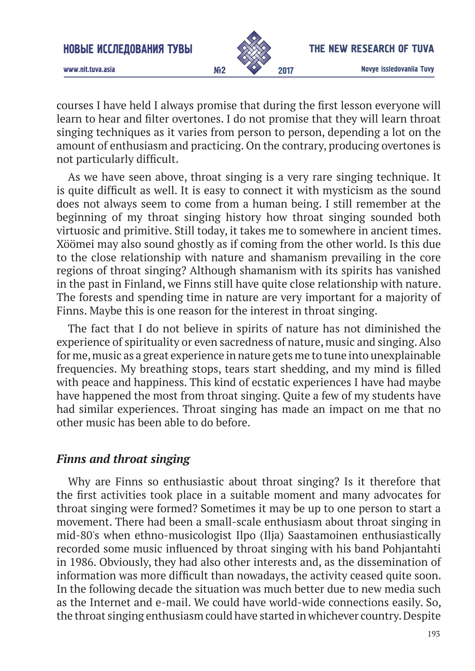

www.nit.tuva.asia №2

courses I have held I always promise that during the first lesson everyone will learn to hear and filter overtones. I do not promise that they will learn throat singing techniques as it varies from person to person, depending a lot on the amount of enthusiasm and practicing. On the contrary, producing overtones is not particularly difficult.

As we have seen above, throat singing is a very rare singing technique. It is quite difficult as well. It is easy to connect it with mysticism as the sound does not always seem to come from a human being. I still remember at the beginning of my throat singing history how throat singing sounded both virtuosic and primitive. Still today, it takes me to somewhere in ancient times. Xöömei may also sound ghostly as if coming from the other world. Is this due to the close relationship with nature and shamanism prevailing in the core regions of throat singing? Although shamanism with its spirits has vanished in the past in Finland, we Finns still have quite close relationship with nature. The forests and spending time in nature are very important for a majority of Finns. Maybe this is one reason for the interest in throat singing.

The fact that I do not believe in spirits of nature has not diminished the experience of spirituality or even sacredness of nature, music and singing. Also for me, music as a great experience in nature gets me to tune into unexplainable frequencies. My breathing stops, tears start shedding, and my mind is filled with peace and happiness. This kind of ecstatic experiences I have had maybe have happened the most from throat singing. Quite a few of my students have had similar experiences. Throat singing has made an impact on me that no other music has been able to do before.

## *Finns and throat singing*

Why are Finns so enthusiastic about throat singing? Is it therefore that the first activities took place in a suitable moment and many advocates for throat singing were formed? Sometimes it may be up to one person to start a movement. There had been a small-scale enthusiasm about throat singing in mid-80's when ethno-musicologist Ilpo (Ilja) Saastamoinen enthusiastically recorded some music influenced by throat singing with his band Pohjantahti in 1986. Obviously, they had also other interests and, as the dissemination of information was more difficult than nowadays, the activity ceased quite soon. In the following decade the situation was much better due to new media such as the Internet and e-mail. We could have world-wide connections easily. So, the throat singing enthusiasm could have started in whichever country. Despite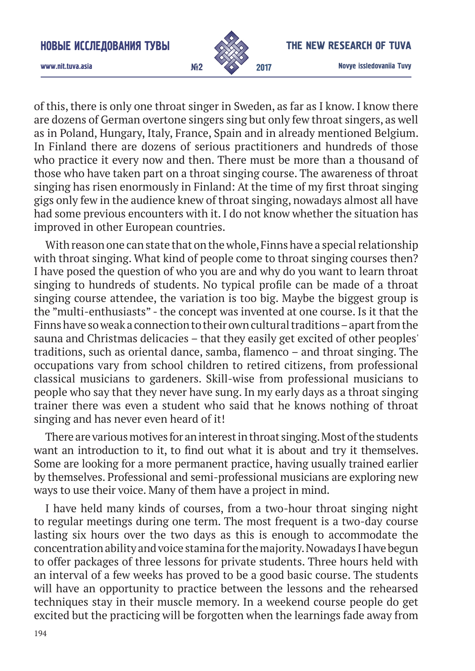

#### The New research of Tuva

www.nit.tuva.asia №2

of this, there is only one throat singer in Sweden, as far as I know. I know there are dozens of German overtone singers sing but only few throat singers, as well as in Poland, Hungary, Italy, France, Spain and in already mentioned Belgium. In Finland there are dozens of serious practitioners and hundreds of those who practice it every now and then. There must be more than a thousand of those who have taken part on a throat singing course. The awareness of throat singing has risen enormously in Finland: At the time of my first throat singing gigs only few in the audience knew of throat singing, nowadays almost all have had some previous encounters with it. I do not know whether the situation has improved in other European countries.

With reason one can state that on the whole, Finns have a special relationship with throat singing. What kind of people come to throat singing courses then? I have posed the question of who you are and why do you want to learn throat singing to hundreds of students. No typical profile can be made of a throat singing course attendee, the variation is too big. Maybe the biggest group is the "multi-enthusiasts" - the concept was invented at one course. Is it that the Finns have so weak a connection to their own cultural traditions – apart from the sauna and Christmas delicacies – that they easily get excited of other peoples' traditions, such as oriental dance, samba, flamenco – and throat singing. The occupations vary from school children to retired citizens, from professional classical musicians to gardeners. Skill-wise from professional musicians to people who say that they never have sung. In my early days as a throat singing trainer there was even a student who said that he knows nothing of throat singing and has never even heard of it!

There are various motives for an interest in throat singing. Most of the students want an introduction to it, to find out what it is about and try it themselves. Some are looking for a more permanent practice, having usually trained earlier by themselves. Professional and semi-professional musicians are exploring new ways to use their voice. Many of them have a project in mind.

I have held many kinds of courses, from a two-hour throat singing night to regular meetings during one term. The most frequent is a two-day course lasting six hours over the two days as this is enough to accommodate the concentration ability and voice stamina for the majority. Nowadays I have begun to offer packages of three lessons for private students. Three hours held with an interval of a few weeks has proved to be a good basic course. The students will have an opportunity to practice between the lessons and the rehearsed techniques stay in their muscle memory. In a weekend course people do get excited but the practicing will be forgotten when the learnings fade away from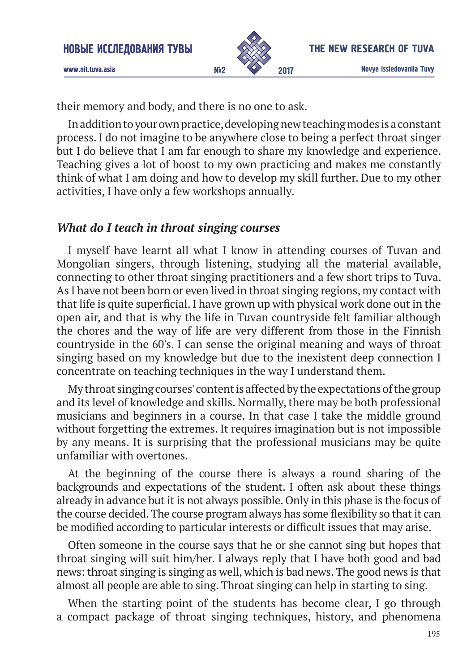

www.nit.tuva.asia №2

their memory and body, and there is no one to ask.

In addition to your own practice, developing new teaching modes is a constant process. I do not imagine to be anywhere close to being a perfect throat singer but I do believe that I am far enough to share my knowledge and experience. Teaching gives a lot of boost to my own practicing and makes me constantly think of what I am doing and how to develop my skill further. Due to my other activities, I have only a few workshops annually.

### *What do I teach in throat singing courses*

I myself have learnt all what I know in attending courses of Tuvan and Mongolian singers, through listening, studying all the material available, connecting to other throat singing practitioners and a few short trips to Tuva. As I have not been born or even lived in throat singing regions, my contact with that life is quite superficial. I have grown up with physical work done out in the open air, and that is why the life in Tuvan countryside felt familiar although the chores and the way of life are very different from those in the Finnish countryside in the 60's. I can sense the original meaning and ways of throat singing based on my knowledge but due to the inexistent deep connection I concentrate on teaching techniques in the way I understand them.

My throat singing courses' content is affected by the expectations of the group and its level of knowledge and skills. Normally, there may be both professional musicians and beginners in a course. In that case I take the middle ground without forgetting the extremes. It requires imagination but is not impossible by any means. It is surprising that the professional musicians may be quite unfamiliar with overtones.

At the beginning of the course there is always a round sharing of the backgrounds and expectations of the student. I often ask about these things already in advance but it is not always possible. Only in this phase is the focus of the course decided. The course program always has some flexibility so that it can be modified according to particular interests or difficult issues that may arise.

Often someone in the course says that he or she cannot sing but hopes that throat singing will suit him/her. I always reply that I have both good and bad news: throat singing is singing as well, which is bad news. The good news is that almost all people are able to sing. Throat singing can help in starting to sing.

When the starting point of the students has become clear, I go through a compact package of throat singing techniques, history, and phenomena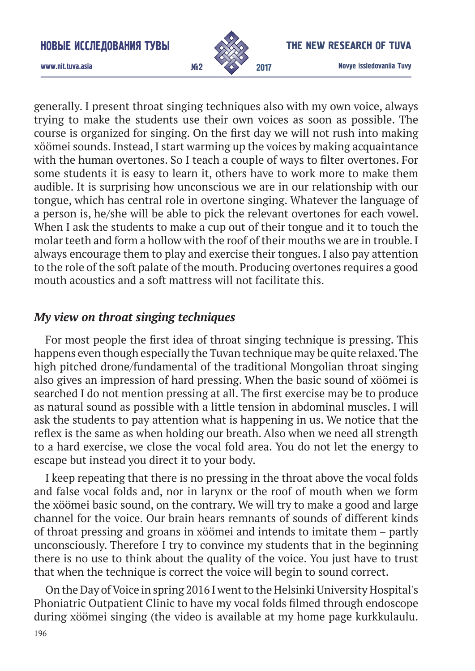

#### The New research of Tuva

www.nit.tuva.asia №2

generally. I present throat singing techniques also with my own voice, always trying to make the students use their own voices as soon as possible. The course is organized for singing. On the first day we will not rush into making xöömei sounds. Instead, I start warming up the voices by making acquaintance with the human overtones. So I teach a couple of ways to filter overtones. For some students it is easy to learn it, others have to work more to make them audible. It is surprising how unconscious we are in our relationship with our tongue, which has central role in overtone singing. Whatever the language of a person is, he/she will be able to pick the relevant overtones for each vowel. When I ask the students to make a cup out of their tongue and it to touch the molar teeth and form a hollow with the roof of their mouths we are in trouble. I always encourage them to play and exercise their tongues. I also pay attention to the role of the soft palate of the mouth. Producing overtones requires a good mouth acoustics and a soft mattress will not facilitate this.

### *My view on throat singing techniques*

For most people the first idea of throat singing technique is pressing. This happens even though especially the Tuvan technique may be quite relaxed. The high pitched drone/fundamental of the traditional Mongolian throat singing also gives an impression of hard pressing. When the basic sound of xöömei is searched I do not mention pressing at all. The first exercise may be to produce as natural sound as possible with a little tension in abdominal muscles. I will ask the students to pay attention what is happening in us. We notice that the reflex is the same as when holding our breath. Also when we need all strength to a hard exercise, we close the vocal fold area. You do not let the energy to escape but instead you direct it to your body.

I keep repeating that there is no pressing in the throat above the vocal folds and false vocal folds and, nor in larynx or the roof of mouth when we form the xöömei basic sound, on the contrary. We will try to make a good and large channel for the voice. Our brain hears remnants of sounds of different kinds of throat pressing and groans in xöömei and intends to imitate them – partly unconsciously. Therefore I try to convince my students that in the beginning there is no use to think about the quality of the voice. You just have to trust that when the technique is correct the voice will begin to sound correct.

On the Day of Voice in spring 2016 I went to the Helsinki University Hospital's Phoniatric Outpatient Clinic to have my vocal folds filmed through endoscope during xöömei singing (the video is available at my home page kurkkulaulu.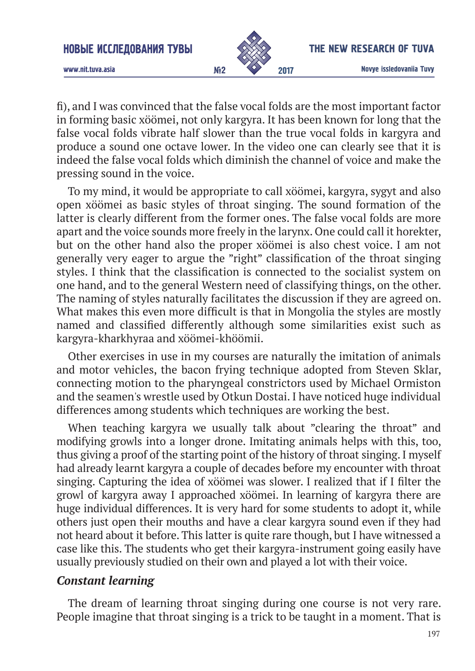

Novye issledovaniia Tuvy 2017

www.nit.tuva.asia №2

fi), and I was convinced that the false vocal folds are the most important factor in forming basic xöömei, not only kargyra. It has been known for long that the false vocal folds vibrate half slower than the true vocal folds in kargyra and produce a sound one octave lower. In the video one can clearly see that it is indeed the false vocal folds which diminish the channel of voice and make the pressing sound in the voice.

To my mind, it would be appropriate to call xöömei, kargyra, sygyt and also open xöömei as basic styles of throat singing. The sound formation of the latter is clearly different from the former ones. The false vocal folds are more apart and the voice sounds more freely in the larynx. One could call it horekter, but on the other hand also the proper xöömei is also chest voice. I am not generally very eager to argue the "right" classification of the throat singing styles. I think that the classification is connected to the socialist system on one hand, and to the general Western need of classifying things, on the other. The naming of styles naturally facilitates the discussion if they are agreed on. What makes this even more difficult is that in Mongolia the styles are mostly named and classified differently although some similarities exist such as kargyra-kharkhyraa and xöömei-khöömii.

Other exercises in use in my courses are naturally the imitation of animals and motor vehicles, the bacon frying technique adopted from Steven Sklar, connecting motion to the pharyngeal constrictors used by Michael Ormiston and the seamen's wrestle used by Otkun Dostai. I have noticed huge individual differences among students which techniques are working the best.

When teaching kargyra we usually talk about "clearing the throat" and modifying growls into a longer drone. Imitating animals helps with this, too, thus giving a proof of the starting point of the history of throat singing. I myself had already learnt kargyra a couple of decades before my encounter with throat singing. Capturing the idea of xöömei was slower. I realized that if I filter the growl of kargyra away I approached xöömei. In learning of kargyra there are huge individual differences. It is very hard for some students to adopt it, while others just open their mouths and have a clear kargyra sound even if they had not heard about it before. This latter is quite rare though, but I have witnessed a case like this. The students who get their kargyra-instrument going easily have usually previously studied on their own and played a lot with their voice.

# *Constant learning*

The dream of learning throat singing during one course is not very rare. People imagine that throat singing is a trick to be taught in a moment. That is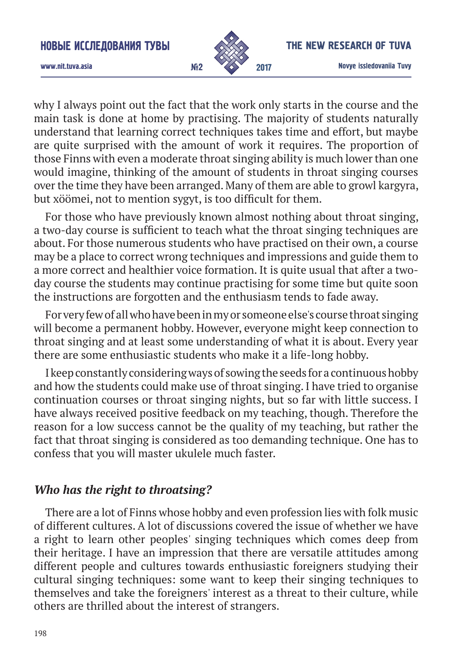

#### The New research of Tuva

www.nit.tuva.asia №2

why I always point out the fact that the work only starts in the course and the main task is done at home by practising. The majority of students naturally understand that learning correct techniques takes time and effort, but maybe are quite surprised with the amount of work it requires. The proportion of those Finns with even a moderate throat singing ability is much lower than one would imagine, thinking of the amount of students in throat singing courses over the time they have been arranged. Many of them are able to growl kargyra, but xöömei, not to mention sygyt, is too difficult for them.

For those who have previously known almost nothing about throat singing, a two-day course is sufficient to teach what the throat singing techniques are about. For those numerous students who have practised on their own, a course may be a place to correct wrong techniques and impressions and guide them to a more correct and healthier voice formation. It is quite usual that after a twoday course the students may continue practising for some time but quite soon the instructions are forgotten and the enthusiasm tends to fade away.

For very few of all who have been in my or someone else's course throat singing will become a permanent hobby. However, everyone might keep connection to throat singing and at least some understanding of what it is about. Every year there are some enthusiastic students who make it a life-long hobby.

I keep constantly considering ways of sowing the seeds for a continuous hobby and how the students could make use of throat singing. I have tried to organise continuation courses or throat singing nights, but so far with little success. I have always received positive feedback on my teaching, though. Therefore the reason for a low success cannot be the quality of my teaching, but rather the fact that throat singing is considered as too demanding technique. One has to confess that you will master ukulele much faster.

# *Who has the right to throatsing?*

There are a lot of Finns whose hobby and even profession lies with folk music of different cultures. A lot of discussions covered the issue of whether we have a right to learn other peoples' singing techniques which comes deep from their heritage. I have an impression that there are versatile attitudes among different people and cultures towards enthusiastic foreigners studying their cultural singing techniques: some want to keep their singing techniques to themselves and take the foreigners' interest as a threat to their culture, while others are thrilled about the interest of strangers.